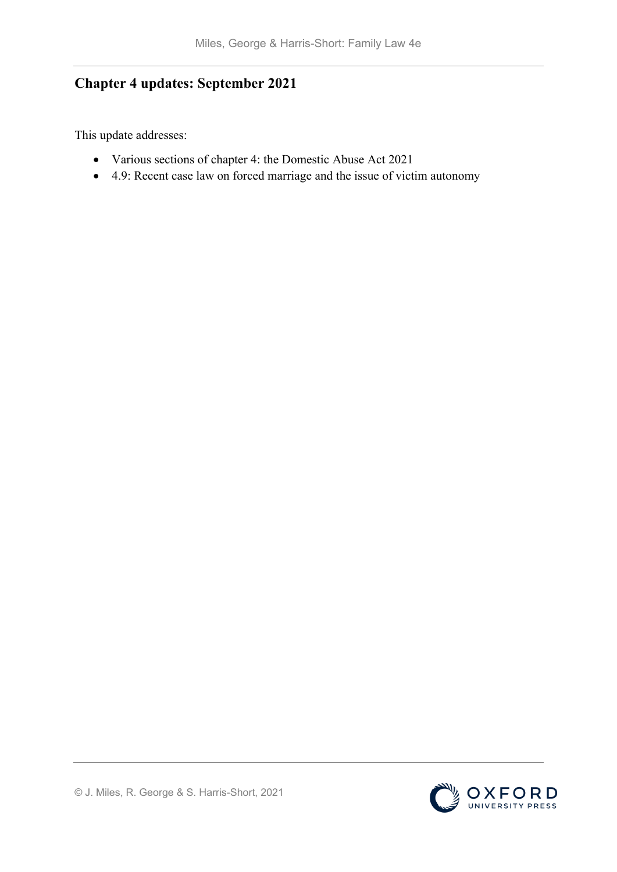# **Chapter 4 updates: September 2021**

This update addresses:

- Various sections of chapter 4: the Domestic Abuse Act 2021
- 4.9: Recent case law on forced marriage and the issue of victim autonomy

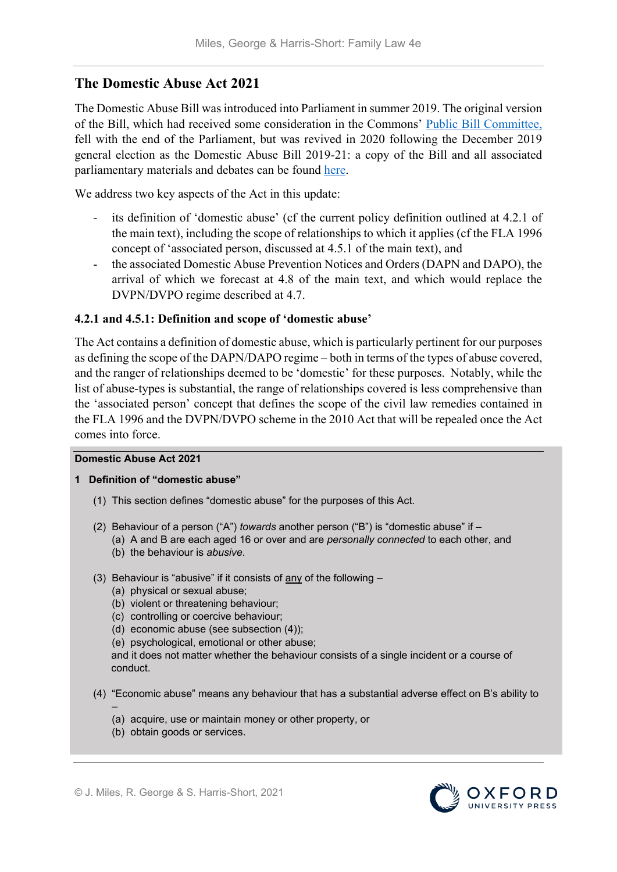# **The Domestic Abuse Act 2021**

The Domestic Abuse Bill was introduced into Parliament in summer 2019. The original version of the Bill, which had received some consideration in the Commons' [Public Bill Committee,](http://www.publications.parliament.uk/pa/cm201920/cmpublic/DomesticAbuse/PBC002_Domestic%20Abuse%20Bill_1st-3rd_Combined_31_10_2019.pdf) fell with the end of the Parliament, but was revived in 2020 following the December 2019 general election as the Domestic Abuse Bill 2019-21: a copy of the Bill and all associated parliamentary materials and debates can be found [here.](https://services.parliament.uk/Bills/2019-21/domesticabuse.html)

We address two key aspects of the Act in this update:

- its definition of 'domestic abuse' (cf the current policy definition outlined at 4.2.1 of the main text), including the scope of relationships to which it applies (cf the FLA 1996 concept of 'associated person, discussed at 4.5.1 of the main text), and
- the associated Domestic Abuse Prevention Notices and Orders (DAPN and DAPO), the arrival of which we forecast at 4.8 of the main text, and which would replace the DVPN/DVPO regime described at 4.7.

## **4.2.1 and 4.5.1: Definition and scope of 'domestic abuse'**

The Act contains a definition of domestic abuse, which is particularly pertinent for our purposes as defining the scope of the DAPN/DAPO regime – both in terms of the types of abuse covered, and the ranger of relationships deemed to be 'domestic' for these purposes. Notably, while the list of abuse-types is substantial, the range of relationships covered is less comprehensive than the 'associated person' concept that defines the scope of the civil law remedies contained in the FLA 1996 and the DVPN/DVPO scheme in the 2010 Act that will be repealed once the Act comes into force.

#### **Domestic Abuse Act 2021**

#### **1 Definition of "domestic abuse"**

- (1) This section defines "domestic abuse" for the purposes of this Act.
- (2) Behaviour of a person ("A") *towards* another person ("B") is "domestic abuse" if (a) A and B are each aged 16 or over and are *personally connected* to each other, and
	- (b) the behaviour is *abusive*.
- (3) Behaviour is "abusive" if it consists of any of the following
	- (a) physical or sexual abuse;
	- (b) violent or threatening behaviour;
	- (c) controlling or coercive behaviour;
	- (d) economic abuse (see subsection (4));
	- (e) psychological, emotional or other abuse;

and it does not matter whether the behaviour consists of a single incident or a course of conduct.

- (4) "Economic abuse" means any behaviour that has a substantial adverse effect on B's ability to
	- (a) acquire, use or maintain money or other property, or
	- (b) obtain goods or services.

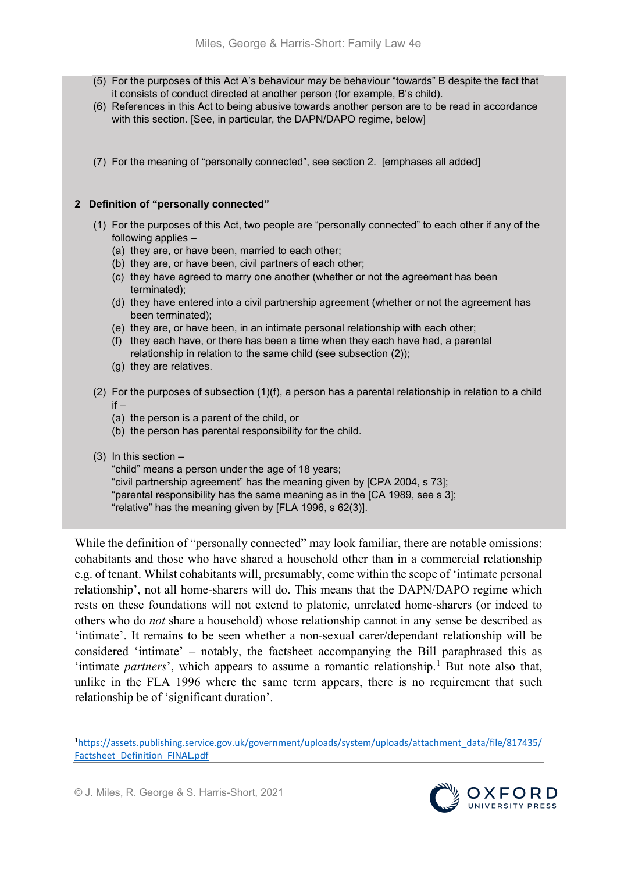- (5) For the purposes of this Act A's behaviour may be behaviour "towards" B despite the fact that it consists of conduct directed at another person (for example, B's child).
- (6) References in this Act to being abusive towards another person are to be read in accordance with this section. [See, in particular, the DAPN/DAPO regime, below]
- (7) For the meaning of "personally connected", see section 2. [emphases all added]

#### **2 Definition of "personally connected"**

- (1) For the purposes of this Act, two people are "personally connected" to each other if any of the following applies –
	- (a) they are, or have been, married to each other;
	- (b) they are, or have been, civil partners of each other;
	- (c) they have agreed to marry one another (whether or not the agreement has been terminated);
	- (d) they have entered into a civil partnership agreement (whether or not the agreement has been terminated);
	- (e) they are, or have been, in an intimate personal relationship with each other;
	- (f) they each have, or there has been a time when they each have had, a parental relationship in relation to the same child (see subsection (2));
	- (g) they are relatives.
- (2) For the purposes of subsection (1)(f), a person has a parental relationship in relation to a child  $if =$ 
	- (a) the person is a parent of the child, or
	- (b) the person has parental responsibility for the child.
- (3) In this section –

"child" means a person under the age of 18 years; "civil partnership agreement" has the meaning given by [CPA 2004, s 73]; "parental responsibility has the same meaning as in the [CA 1989, see s 3]; "relative" has the meaning given by [FLA 1996, s 62(3)].

While the definition of "personally connected" may look familiar, there are notable omissions: cohabitants and those who have shared a household other than in a commercial relationship e.g. of tenant. Whilst cohabitants will, presumably, come within the scope of 'intimate personal relationship', not all home-sharers will do. This means that the DAPN/DAPO regime which rests on these foundations will not extend to platonic, unrelated home-sharers (or indeed to others who do *not* share a household) whose relationship cannot in any sense be described as 'intimate'. It remains to be seen whether a non-sexual carer/dependant relationship will be considered 'intimate' – notably, the factsheet accompanying the Bill paraphrased this as 'intimate *partners*', which appears to assume a romantic relationship.<sup>[1](#page-2-0)</sup> But note also that, unlike in the FLA 1996 where the same term appears, there is no requirement that such relationship be of 'significant duration'.



<span id="page-2-0"></span> $\frac{1}{1}$ [https://assets.publishing.service.gov.uk/government/uploads/system/uploads/attachment\\_data/file/817435/](https://assets.publishing.service.gov.uk/government/uploads/system/uploads/attachment_data/file/817435/Factsheet_Definition_FINAL.pdf) [Factsheet\\_Definition\\_FINAL.pdf](https://assets.publishing.service.gov.uk/government/uploads/system/uploads/attachment_data/file/817435/Factsheet_Definition_FINAL.pdf)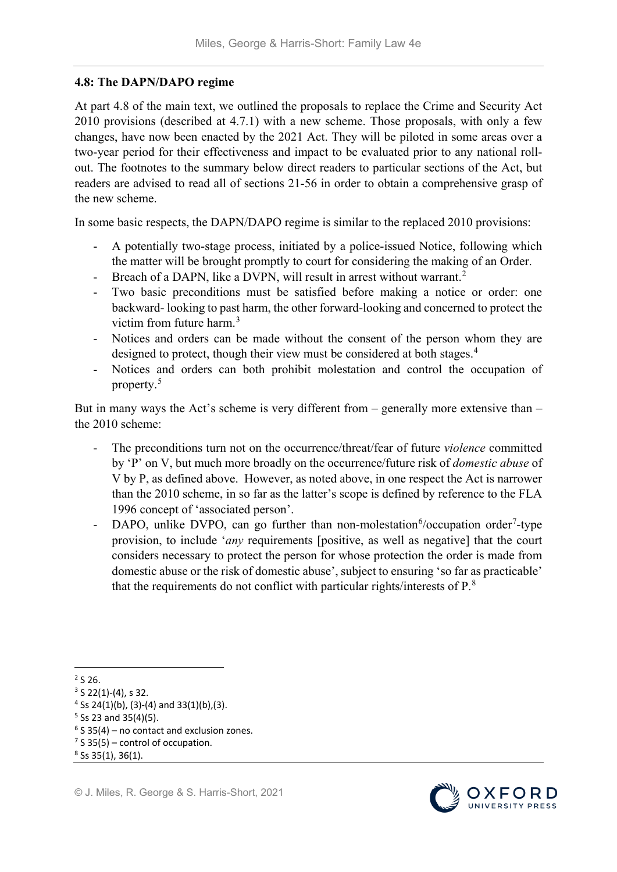## **4.8: The DAPN/DAPO regime**

At part 4.8 of the main text, we outlined the proposals to replace the Crime and Security Act 2010 provisions (described at 4.7.1) with a new scheme. Those proposals, with only a few changes, have now been enacted by the 2021 Act. They will be piloted in some areas over a two-year period for their effectiveness and impact to be evaluated prior to any national rollout. The footnotes to the summary below direct readers to particular sections of the Act, but readers are advised to read all of sections 21-56 in order to obtain a comprehensive grasp of the new scheme.

In some basic respects, the DAPN/DAPO regime is similar to the replaced 2010 provisions:

- A potentially two-stage process, initiated by a police-issued Notice, following which the matter will be brought promptly to court for considering the making of an Order.
- Breach of a DAPN, like a DVPN, will result in arrest without warrant.<sup>[2](#page-3-0)</sup>
- Two basic preconditions must be satisfied before making a notice or order: one backward- looking to past harm, the other forward-looking and concerned to protect the victim from future harm.[3](#page-3-1)
- Notices and orders can be made without the consent of the person whom they are designed to protect, though their view must be considered at both stages.<sup>[4](#page-3-2)</sup>
- Notices and orders can both prohibit molestation and control the occupation of property.[5](#page-3-3)

But in many ways the Act's scheme is very different from – generally more extensive than – the 2010 scheme:

- The preconditions turn not on the occurrence/threat/fear of future *violence* committed by 'P' on V, but much more broadly on the occurrence/future risk of *domestic abuse* of V by P, as defined above. However, as noted above, in one respect the Act is narrower than the 2010 scheme, in so far as the latter's scope is defined by reference to the FLA 1996 concept of 'associated person'.
- DAPO, unlike DVPO, can go further than non-molestation  $6$ /occupation order<sup>[7](#page-3-5)</sup>-type provision, to include '*any* requirements [positive, as well as negative] that the court considers necessary to protect the person for whose protection the order is made from domestic abuse or the risk of domestic abuse', subject to ensuring 'so far as practicable' that the requirements do not conflict with particular rights/interests of  $P^8$  $P^8$ .

<span id="page-3-0"></span> $2$  S 26.



<span id="page-3-1"></span> $3$  S 22(1)-(4), s 32.

<span id="page-3-2"></span> $4$  Ss 24(1)(b), (3)-(4) and 33(1)(b), (3).

<span id="page-3-3"></span> $5$  Ss 23 and 35(4)(5).

<span id="page-3-4"></span> $6$  S 35(4) – no contact and exclusion zones.

<span id="page-3-5"></span> $<sup>7</sup>$  S 35(5) – control of occupation.</sup>

<span id="page-3-6"></span> $8$  Ss 35(1), 36(1).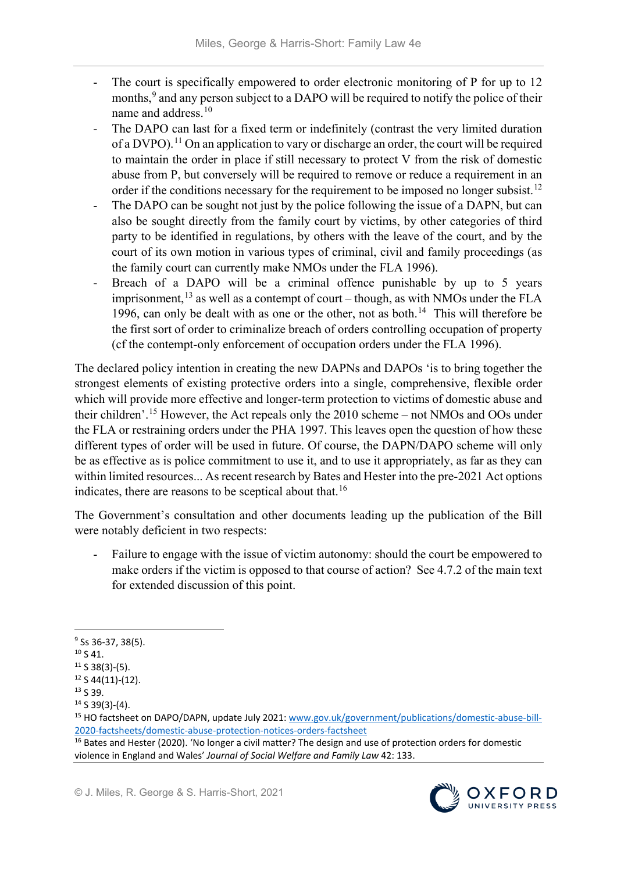- The court is specifically empowered to order electronic monitoring of P for up to 12 months, [9](#page-4-0) and any person subject to a DAPO will be required to notify the police of their name and address.<sup>[10](#page-4-1)</sup>
- The DAPO can last for a fixed term or indefinitely (contrast the very limited duration of a DVPO).<sup>[11](#page-4-2)</sup> On an application to vary or discharge an order, the court will be required to maintain the order in place if still necessary to protect V from the risk of domestic abuse from P, but conversely will be required to remove or reduce a requirement in an order if the conditions necessary for the requirement to be imposed no longer subsist.<sup>[12](#page-4-3)</sup>
- The DAPO can be sought not just by the police following the issue of a DAPN, but can also be sought directly from the family court by victims, by other categories of third party to be identified in regulations, by others with the leave of the court, and by the court of its own motion in various types of criminal, civil and family proceedings (as the family court can currently make NMOs under the FLA 1996).
- Breach of a DAPO will be a criminal offence punishable by up to 5 years imprisonment,  $^{13}$  $^{13}$  $^{13}$  as well as a contempt of court – though, as with NMOs under the FLA 1996, can only be dealt with as one or the other, not as both.<sup>[14](#page-4-5)</sup> This will therefore be the first sort of order to criminalize breach of orders controlling occupation of property (cf the contempt-only enforcement of occupation orders under the FLA 1996).

The declared policy intention in creating the new DAPNs and DAPOs 'is to bring together the strongest elements of existing protective orders into a single, comprehensive, flexible order which will provide more effective and longer-term protection to victims of domestic abuse and their children'.[15](#page-4-6) However, the Act repeals only the 2010 scheme – not NMOs and OOs under the FLA or restraining orders under the PHA 1997. This leaves open the question of how these different types of order will be used in future. Of course, the DAPN/DAPO scheme will only be as effective as is police commitment to use it, and to use it appropriately, as far as they can within limited resources... As recent research by Bates and Hester into the pre-2021 Act options indicates, there are reasons to be sceptical about that.<sup>[16](#page-4-7)</sup>

The Government's consultation and other documents leading up the publication of the Bill were notably deficient in two respects:

- Failure to engage with the issue of victim autonomy: should the court be empowered to make orders if the victim is opposed to that course of action? See 4.7.2 of the main text for extended discussion of this point.

<span id="page-4-0"></span><sup>&</sup>lt;sup>9</sup> Ss 36-37, 38(5).

<span id="page-4-1"></span> $10$  S 41.

<span id="page-4-2"></span> $11$  S 38(3)-(5).

<span id="page-4-3"></span> $12$  S 44(11)-(12).

<span id="page-4-4"></span><sup>&</sup>lt;sup>13</sup> S 39.

<span id="page-4-5"></span><sup>14</sup> S 39(3)-(4).

<span id="page-4-6"></span><sup>15</sup> HO factsheet on DAPO/DAPN, update July 2021[: www.gov.uk/government/publications/domestic-abuse-bill-](http://www.gov.uk/government/publications/domestic-abuse-bill-2020-factsheets/domestic-abuse-protection-notices-orders-factsheet)2020-factsheets/domestic-abuse-protection-notices-orders-factsheet<br><sup>16</sup> Bates and Hester (2020). 'No longer a civil matter? The design and use of protection orders for domestic

<span id="page-4-7"></span>violence in England and Wales' *Journal of Social Welfare and Family Law* 42: 133.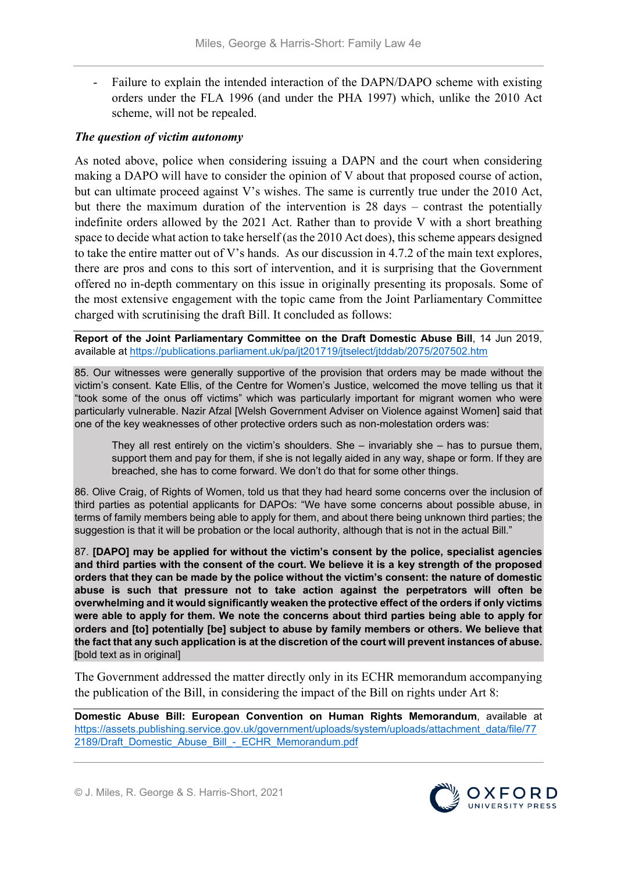Failure to explain the intended interaction of the DAPN/DAPO scheme with existing orders under the FLA 1996 (and under the PHA 1997) which, unlike the 2010 Act scheme, will not be repealed.

## *The question of victim autonomy*

As noted above, police when considering issuing a DAPN and the court when considering making a DAPO will have to consider the opinion of V about that proposed course of action, but can ultimate proceed against V's wishes. The same is currently true under the 2010 Act, but there the maximum duration of the intervention is 28 days – contrast the potentially indefinite orders allowed by the 2021 Act. Rather than to provide V with a short breathing space to decide what action to take herself (as the 2010 Act does), this scheme appears designed to take the entire matter out of V's hands. As our discussion in 4.7.2 of the main text explores, there are pros and cons to this sort of intervention, and it is surprising that the Government offered no in-depth commentary on this issue in originally presenting its proposals. Some of the most extensive engagement with the topic came from the Joint Parliamentary Committee charged with scrutinising the draft Bill. It concluded as follows:

**Report of the Joint Parliamentary Committee on the Draft Domestic Abuse Bill**, 14 Jun 2019, available at<https://publications.parliament.uk/pa/jt201719/jtselect/jtddab/2075/207502.htm>

85. Our witnesses were generally supportive of the provision that orders may be made without the victim's consent. Kate Ellis, of the Centre for Women's Justice, welcomed the move telling us that it "took some of the onus off victims" which was particularly important for migrant women who were particularly vulnerable. Nazir Afzal [Welsh Government Adviser on Violence against Women] said that one of the key weaknesses of other protective orders such as non-molestation orders was:

They all rest entirely on the victim's shoulders. She – invariably she – has to pursue them, support them and pay for them, if she is not legally aided in any way, shape or form. If they are breached, she has to come forward. We don't do that for some other things.

86. Olive Craig, of Rights of Women, told us that they had heard some concerns over the inclusion of third parties as potential applicants for DAPOs: "We have some concerns about possible abuse, in terms of family members being able to apply for them, and about there being unknown third parties; the suggestion is that it will be probation or the local authority, although that is not in the actual Bill."

87. **[DAPO] may be applied for without the victim's consent by the police, specialist agencies and third parties with the consent of the court. We believe it is a key strength of the proposed orders that they can be made by the police without the victim's consent: the nature of domestic abuse is such that pressure not to take action against the perpetrators will often be overwhelming and it would significantly weaken the protective effect of the orders if only victims were able to apply for them. We note the concerns about third parties being able to apply for orders and [to] potentially [be] subject to abuse by family members or others. We believe that the fact that any such application is at the discretion of the court will prevent instances of abuse.**  [bold text as in original]

The Government addressed the matter directly only in its ECHR memorandum accompanying the publication of the Bill, in considering the impact of the Bill on rights under Art 8:

**Domestic Abuse Bill: European Convention on Human Rights Memorandum**, available at [https://assets.publishing.service.gov.uk/government/uploads/system/uploads/attachment\\_data/file/77](https://assets.publishing.service.gov.uk/government/uploads/system/uploads/attachment_data/file/772189/Draft_Domestic_Abuse_Bill_-_ECHR_Memorandum.pdf) [2189/Draft\\_Domestic\\_Abuse\\_Bill\\_-\\_ECHR\\_Memorandum.pdf](https://assets.publishing.service.gov.uk/government/uploads/system/uploads/attachment_data/file/772189/Draft_Domestic_Abuse_Bill_-_ECHR_Memorandum.pdf)

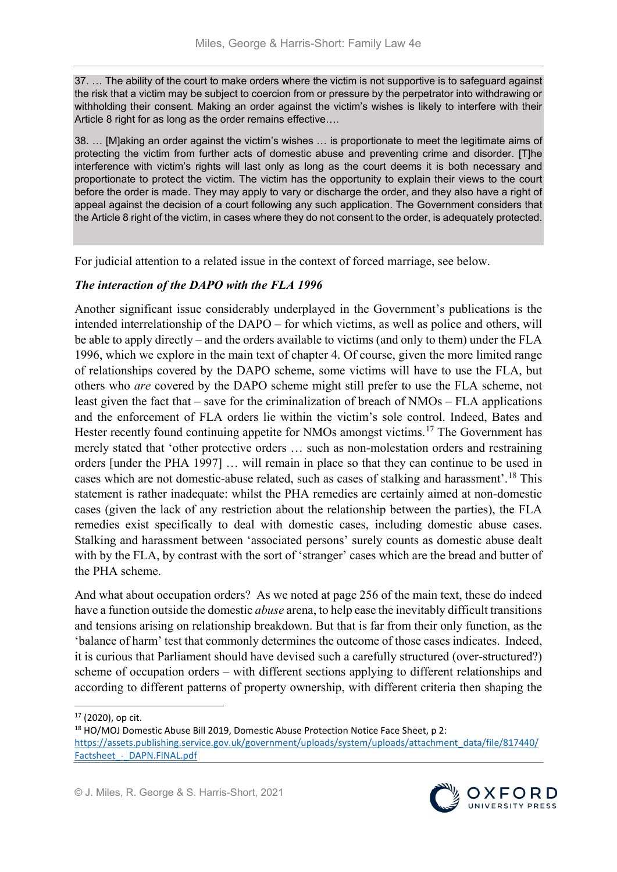37. … The ability of the court to make orders where the victim is not supportive is to safeguard against the risk that a victim may be subject to coercion from or pressure by the perpetrator into withdrawing or withholding their consent. Making an order against the victim's wishes is likely to interfere with their Article 8 right for as long as the order remains effective….

38. … [M]aking an order against the victim's wishes … is proportionate to meet the legitimate aims of protecting the victim from further acts of domestic abuse and preventing crime and disorder. [T]he interference with victim's rights will last only as long as the court deems it is both necessary and proportionate to protect the victim. The victim has the opportunity to explain their views to the court before the order is made. They may apply to vary or discharge the order, and they also have a right of appeal against the decision of a court following any such application. The Government considers that the Article 8 right of the victim, in cases where they do not consent to the order, is adequately protected.

For judicial attention to a related issue in the context of forced marriage, see below.

## *The interaction of the DAPO with the FLA 1996*

Another significant issue considerably underplayed in the Government's publications is the intended interrelationship of the DAPO – for which victims, as well as police and others, will be able to apply directly – and the orders available to victims (and only to them) under the FLA 1996, which we explore in the main text of chapter 4. Of course, given the more limited range of relationships covered by the DAPO scheme, some victims will have to use the FLA, but others who *are* covered by the DAPO scheme might still prefer to use the FLA scheme, not least given the fact that – save for the criminalization of breach of NMOs – FLA applications and the enforcement of FLA orders lie within the victim's sole control. Indeed, Bates and Hester recently found continuing appetite for NMOs amongst victims.<sup>[17](#page-6-0)</sup> The Government has merely stated that 'other protective orders … such as non-molestation orders and restraining orders [under the PHA 1997] … will remain in place so that they can continue to be used in cases which are not domestic-abuse related, such as cases of stalking and harassment'.[18](#page-6-1) This statement is rather inadequate: whilst the PHA remedies are certainly aimed at non-domestic cases (given the lack of any restriction about the relationship between the parties), the FLA remedies exist specifically to deal with domestic cases, including domestic abuse cases. Stalking and harassment between 'associated persons' surely counts as domestic abuse dealt with by the FLA, by contrast with the sort of 'stranger' cases which are the bread and butter of the PHA scheme.

And what about occupation orders? As we noted at page 256 of the main text, these do indeed have a function outside the domestic *abuse* arena, to help ease the inevitably difficult transitions and tensions arising on relationship breakdown. But that is far from their only function, as the 'balance of harm' test that commonly determines the outcome of those cases indicates. Indeed, it is curious that Parliament should have devised such a carefully structured (over-structured?) scheme of occupation orders – with different sections applying to different relationships and according to different patterns of property ownership, with different criteria then shaping the



<span id="page-6-0"></span> $17$  (2020), op cit.

<span id="page-6-1"></span><sup>&</sup>lt;sup>18</sup> HO/MOJ Domestic Abuse Bill 2019, Domestic Abuse Protection Notice Face Sheet, p 2: [https://assets.publishing.service.gov.uk/government/uploads/system/uploads/attachment\\_data/file/817440/](https://assets.publishing.service.gov.uk/government/uploads/system/uploads/attachment_data/file/817440/Factsheet_-_DAPN.FINAL.pdf) Factsheet - DAPN.FINAL.pdf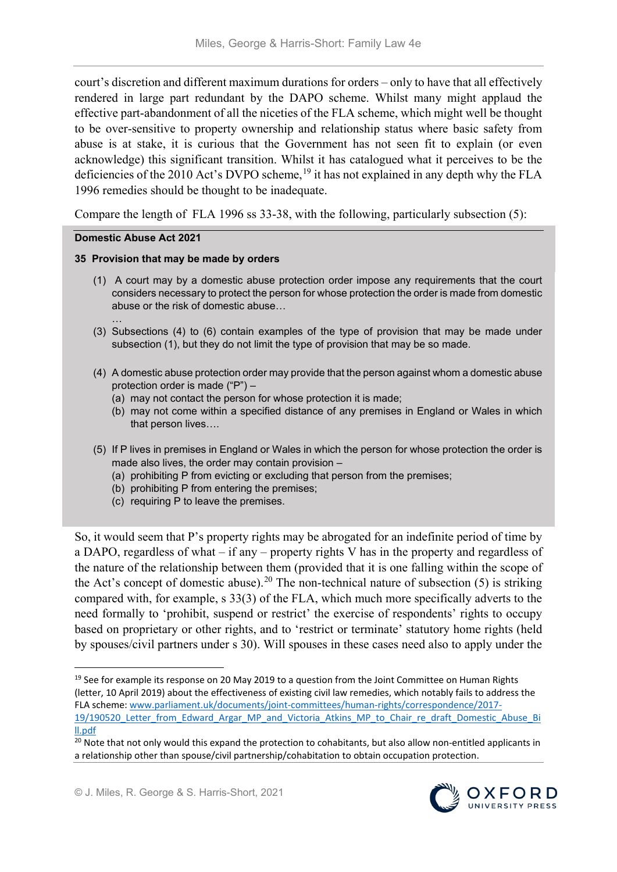court's discretion and different maximum durations for orders – only to have that all effectively rendered in large part redundant by the DAPO scheme. Whilst many might applaud the effective part-abandonment of all the niceties of the FLA scheme, which might well be thought to be over-sensitive to property ownership and relationship status where basic safety from abuse is at stake, it is curious that the Government has not seen fit to explain (or even acknowledge) this significant transition. Whilst it has catalogued what it perceives to be the deficiencies of the 2010 Act's DVPO scheme,<sup>[19](#page-7-0)</sup> it has not explained in any depth why the FLA 1996 remedies should be thought to be inadequate.

Compare the length of FLA 1996 ss 33-38, with the following, particularly subsection (5):

### **Domestic Abuse Act 2021**

### **35 Provision that may be made by orders**

- (1) A court may by a domestic abuse protection order impose any requirements that the court considers necessary to protect the person for whose protection the order is made from domestic abuse or the risk of domestic abuse…
- … (3) Subsections (4) to (6) contain examples of the type of provision that may be made under subsection (1), but they do not limit the type of provision that may be so made.
- (4) A domestic abuse protection order may provide that the person against whom a domestic abuse protection order is made ("P") –
	- (a) may not contact the person for whose protection it is made;
	- (b) may not come within a specified distance of any premises in England or Wales in which that person lives….
- (5) If P lives in premises in England or Wales in which the person for whose protection the order is made also lives, the order may contain provision –
	- (a) prohibiting P from evicting or excluding that person from the premises;
	- (b) prohibiting P from entering the premises;
	- (c) requiring P to leave the premises.

So, it would seem that P's property rights may be abrogated for an indefinite period of time by a DAPO, regardless of what – if any – property rights V has in the property and regardless of the nature of the relationship between them (provided that it is one falling within the scope of the Act's concept of domestic abuse).<sup>[20](#page-7-1)</sup> The non-technical nature of subsection (5) is striking compared with, for example, s 33(3) of the FLA, which much more specifically adverts to the need formally to 'prohibit, suspend or restrict' the exercise of respondents' rights to occupy based on proprietary or other rights, and to 'restrict or terminate' statutory home rights (held by spouses/civil partners under s 30). Will spouses in these cases need also to apply under the



<span id="page-7-0"></span><sup>&</sup>lt;sup>19</sup> See for example its response on 20 May 2019 to a question from the Joint Committee on Human Rights (letter, 10 April 2019) about the effectiveness of existing civil law remedies, which notably fails to address the FLA scheme: [www.parliament.uk/documents/joint-committees/human-rights/correspondence/2017-](http://www.parliament.uk/documents/joint-committees/human-rights/correspondence/2017-19/190520_Letter_from_Edward_Argar_MP_and_Victoria_Atkins_MP_to_Chair_re_draft_Domestic_Abuse_Bill.pdf) 19/190520 Letter from Edward Argar MP and Victoria Atkins MP to Chair re draft Domestic Abuse Bi [ll.pdf](http://www.parliament.uk/documents/joint-committees/human-rights/correspondence/2017-19/190520_Letter_from_Edward_Argar_MP_and_Victoria_Atkins_MP_to_Chair_re_draft_Domestic_Abuse_Bill.pdf)

<span id="page-7-1"></span><sup>&</sup>lt;sup>20</sup> Note that not only would this expand the protection to cohabitants, but also allow non-entitled applicants in a relationship other than spouse/civil partnership/cohabitation to obtain occupation protection.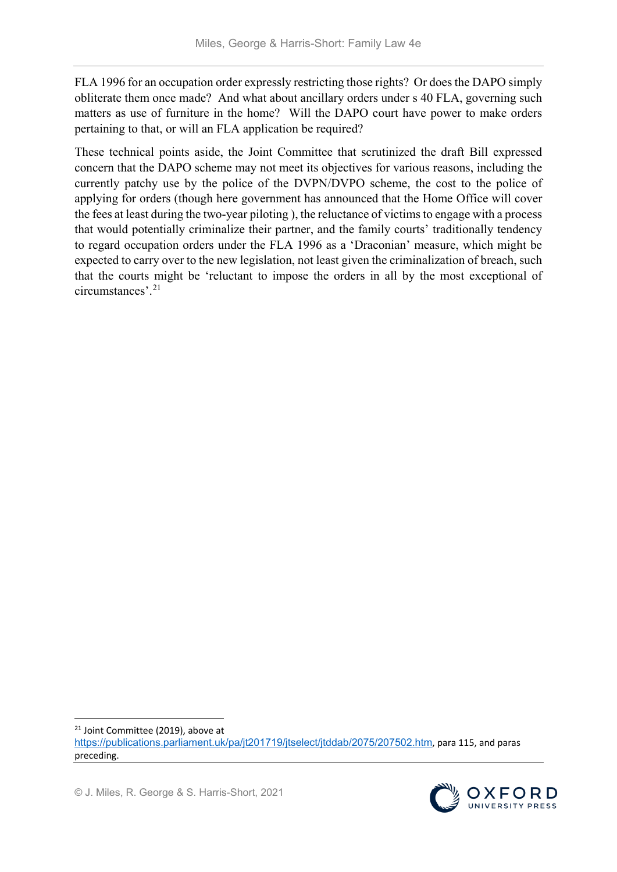FLA 1996 for an occupation order expressly restricting those rights? Or does the DAPO simply obliterate them once made? And what about ancillary orders under s 40 FLA, governing such matters as use of furniture in the home? Will the DAPO court have power to make orders pertaining to that, or will an FLA application be required?

These technical points aside, the Joint Committee that scrutinized the draft Bill expressed concern that the DAPO scheme may not meet its objectives for various reasons, including the currently patchy use by the police of the DVPN/DVPO scheme, the cost to the police of applying for orders (though here government has announced that the Home Office will cover the fees at least during the two-year piloting ), the reluctance of victims to engage with a process that would potentially criminalize their partner, and the family courts' traditionally tendency to regard occupation orders under the FLA 1996 as a 'Draconian' measure, which might be expected to carry over to the new legislation, not least given the criminalization of breach, such that the courts might be 'reluctant to impose the orders in all by the most exceptional of circumstances'. [21](#page-8-0) 



<span id="page-8-0"></span><sup>&</sup>lt;sup>21</sup> Joint Committee (2019), above at <https://publications.parliament.uk/pa/jt201719/jtselect/jtddab/2075/207502.htm>, para 115, and paras preceding.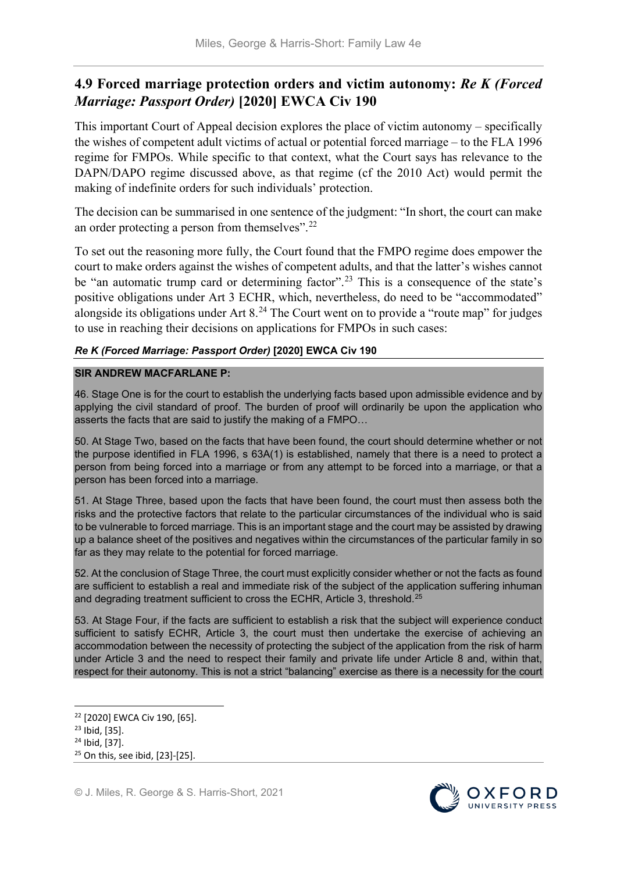# **4.9 Forced marriage protection orders and victim autonomy:** *Re K (Forced Marriage: Passport Order)* **[2020] EWCA Civ 190**

This important Court of Appeal decision explores the place of victim autonomy – specifically the wishes of competent adult victims of actual or potential forced marriage – to the FLA 1996 regime for FMPOs. While specific to that context, what the Court says has relevance to the DAPN/DAPO regime discussed above, as that regime (cf the 2010 Act) would permit the making of indefinite orders for such individuals' protection.

The decision can be summarised in one sentence of the judgment: "In short, the court can make an order protecting a person from themselves".[22](#page-9-0)

To set out the reasoning more fully, the Court found that the FMPO regime does empower the court to make orders against the wishes of competent adults, and that the latter's wishes cannot be "an automatic trump card or determining factor".<sup>[23](#page-9-1)</sup> This is a consequence of the state's positive obligations under Art 3 ECHR, which, nevertheless, do need to be "accommodated" alongside its obligations under Art  $8<sup>24</sup>$  $8<sup>24</sup>$  $8<sup>24</sup>$  The Court went on to provide a "route map" for judges to use in reaching their decisions on applications for FMPOs in such cases:

## *Re K (Forced Marriage: Passport Order)* **[2020] EWCA Civ 190**

### **SIR ANDREW MACFARLANE P:**

46. Stage One is for the court to establish the underlying facts based upon admissible evidence and by applying the civil standard of proof. The burden of proof will ordinarily be upon the application who asserts the facts that are said to justify the making of a FMPO…

50. At Stage Two, based on the facts that have been found, the court should determine whether or not the purpose identified in FLA 1996, s 63A(1) is established, namely that there is a need to protect a person from being forced into a marriage or from any attempt to be forced into a marriage, or that a person has been forced into a marriage.

51. At Stage Three, based upon the facts that have been found, the court must then assess both the risks and the protective factors that relate to the particular circumstances of the individual who is said to be vulnerable to forced marriage. This is an important stage and the court may be assisted by drawing up a balance sheet of the positives and negatives within the circumstances of the particular family in so far as they may relate to the potential for forced marriage.

52. At the conclusion of Stage Three, the court must explicitly consider whether or not the facts as found are sufficient to establish a real and immediate risk of the subject of the application suffering inhuman and degrading treatment sufficient to cross the ECHR, Article 3, threshold.<sup>25</sup>

53. At Stage Four, if the facts are sufficient to establish a risk that the subject will experience conduct sufficient to satisfy ECHR, Article 3, the court must then undertake the exercise of achieving an accommodation between the necessity of protecting the subject of the application from the risk of harm under Article 3 and the need to respect their family and private life under Article 8 and, within that, respect for their autonomy. This is not a strict "balancing" exercise as there is a necessity for the court



<span id="page-9-0"></span> <sup>22</sup> [2020] EWCA Civ 190, [65].

<span id="page-9-1"></span><sup>23</sup> Ibid, [35].

<span id="page-9-2"></span><sup>24</sup> Ibid, [37].

<span id="page-9-3"></span><sup>25</sup> On this, see ibid, [23]-[25].